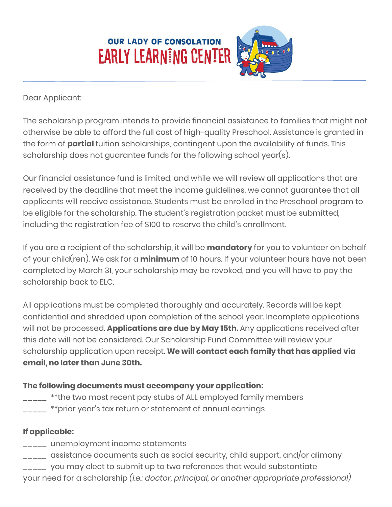

## Dear Applicant:

The scholarship program intends to provide financial assistance to families that might not otherwise be able to afford the full cost of high-quality Preschool. Assistance is granted in the form of **partial** tuition scholarships, contingent upon the availability of funds. This scholarship does not guarantee funds for the following school year(s).

Our financial assistance fund is limited, and while we will review all applications that are received by the deadline that meet the income guidelines, we cannot guarantee that all applicants will receive assistance. Students must be enrolled in the Preschool program to be eligible for the scholarship. The student's registration packet must be submitted, including the registration fee of \$100 to reserve the child's enrollment.

If you are a recipient of the scholarship, it will be **mandatory** for you to volunteer on behalf of your child(ren). We ask for a **minimum** of 10 hours. If your volunteer hours have not been completed by March 31, your scholarship may be revoked, and you will have to pay the scholarship back to ELC.

All applications must be completed thoroughly and accurately. Records will be kept confidential and shredded upon completion of the school year. Incomplete applications will not be processed. **Applications are due by May 15th.** Any applications received after this date will not be considered. Our Scholarship Fund Committee will review your scholarship application upon receipt. **We will contact each family that has applied via email, no later than June 30th.**

## **The following documents must accompany your application:**

- \_\_\_\_ \*\*the two most recent pay stubs of ALL employed family members
- $\frac{1}{2}$  \*\*prior year's tax return or statement of annual earnings

## **If applicable:**

- \_\_\_\_\_ unemployment income statements
- \_\_\_\_\_ assistance documents such as social security, child support, and/or alimony
- \_\_\_\_\_ you may elect to submit up to two references that would substantiate
- your need for a scholarship *(i.e.: doctor, principal, or another appropriate professional)*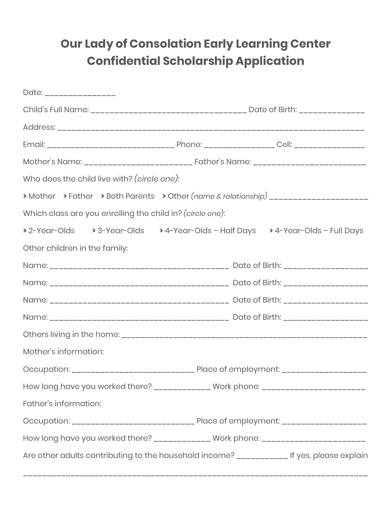## **Our Lady of Consolation Early Learning Center Confidential Scholarship Application**

| Date: _________________                                                                    |                                                                                        |  |
|--------------------------------------------------------------------------------------------|----------------------------------------------------------------------------------------|--|
|                                                                                            |                                                                                        |  |
|                                                                                            |                                                                                        |  |
|                                                                                            |                                                                                        |  |
|                                                                                            |                                                                                        |  |
| Who does the child live with? (circle one):                                                |                                                                                        |  |
| > Mother > Father > Both Parents > Other (name & relationship) ______________________      |                                                                                        |  |
| Which class are you enrolling the child in? (circle one):                                  |                                                                                        |  |
| > 2-Year-Olds > 3-Year-Olds > 4-Year-Olds - Half Days > 4-Year-Olds - Full Days            |                                                                                        |  |
| Other children in the family:                                                              |                                                                                        |  |
|                                                                                            |                                                                                        |  |
|                                                                                            |                                                                                        |  |
|                                                                                            |                                                                                        |  |
|                                                                                            |                                                                                        |  |
|                                                                                            |                                                                                        |  |
| Mother's information:                                                                      |                                                                                        |  |
|                                                                                            |                                                                                        |  |
| How long have you worked there? _____________ Work phone: ______________________           |                                                                                        |  |
| Father's information:                                                                      |                                                                                        |  |
|                                                                                            | Occupation: _________________________________ Place of employment: ___________________ |  |
| How long have you worked there? _____________ Work phone: ______________________           |                                                                                        |  |
| Are other adults contributing to the household income? ____________ If yes, please explain |                                                                                        |  |

\_\_\_\_\_\_\_\_\_\_\_\_\_\_\_\_\_\_\_\_\_\_\_\_\_\_\_\_\_\_\_\_\_\_\_\_\_\_\_\_\_\_\_\_\_\_\_\_\_\_\_\_\_\_\_\_\_\_\_\_\_\_\_\_\_\_\_\_\_\_\_\_\_